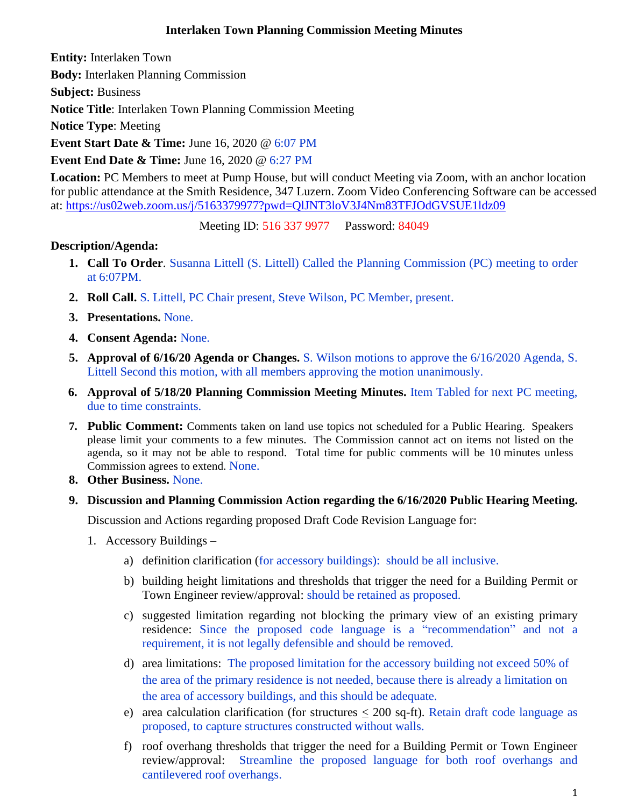#### **Interlaken Town Planning Commission Meeting Minutes**

**Entity:** Interlaken Town

**Body:** Interlaken [Planning Commission](http://www.utah.gov/pmn/sitemap/publicbody/5029.html)

**Subject:** Business

**Notice Title**: Interlaken Town Planning Commission Meeting

**Notice Type**: Meeting

**Event Start Date & Time:** June 16, 2020 @ 6:07 PM

**Event End Date & Time:** June 16, 2020 @ 6:27 PM

**Location:** PC Members to meet at Pump House, but will conduct Meeting via Zoom, with an anchor location for public attendance at the Smith Residence, 347 Luzern. Zoom Video Conferencing Software can be accessed at:<https://us02web.zoom.us/j/5163379977?pwd=QlJNT3loV3J4Nm83TFJOdGVSUE1ldz09>

Meeting ID: 516 337 9977 Password: 84049

## **Description/Agenda:**

- **1. Call To Order**. Susanna Littell (S. Littell) Called the Planning Commission (PC) meeting to order at 6:07PM.
- **2. Roll Call.** S. Littell, PC Chair present, Steve Wilson, PC Member, present.
- **3. Presentations.** None.
- **4. Consent Agenda:** None.
- **5. Approval of 6/16/20 Agenda or Changes.** S. Wilson motions to approve the 6/16/2020 Agenda, S. Littell Second this motion, with all members approving the motion unanimously.
- **6. Approval of 5/18/20 Planning Commission Meeting Minutes.** Item Tabled for next PC meeting, due to time constraints.
- **7. Public Comment:** Comments taken on land use topics not scheduled for a Public Hearing. Speakers please limit your comments to a few minutes. The Commission cannot act on items not listed on the agenda, so it may not be able to respond. Total time for public comments will be 10 minutes unless Commission agrees to extend. None.
- **8. Other Business.** None.
- **9. Discussion and Planning Commission Action regarding the 6/16/2020 Public Hearing Meeting.**

Discussion and Actions regarding proposed Draft Code Revision Language for:

- 1. Accessory Buildings
	- a) definition clarification (for accessory buildings): should be all inclusive.
	- b) building height limitations and thresholds that trigger the need for a Building Permit or Town Engineer review/approval: should be retained as proposed.
	- c) suggested limitation regarding not blocking the primary view of an existing primary residence: Since the proposed code language is a "recommendation" and not a requirement, it is not legally defensible and should be removed.
	- d) area limitations: The proposed limitation for the accessory building not exceed 50% of the area of the primary residence is not needed, because there is already a limitation on the area of accessory buildings, and this should be adequate.
	- e) area calculation clarification (for structures  $\langle 200 \text{ sq-fit} \rangle$ . Retain draft code language as proposed, to capture structures constructed without walls.
	- f) roof overhang thresholds that trigger the need for a Building Permit or Town Engineer review/approval: Streamline the proposed language for both roof overhangs and cantilevered roof overhangs.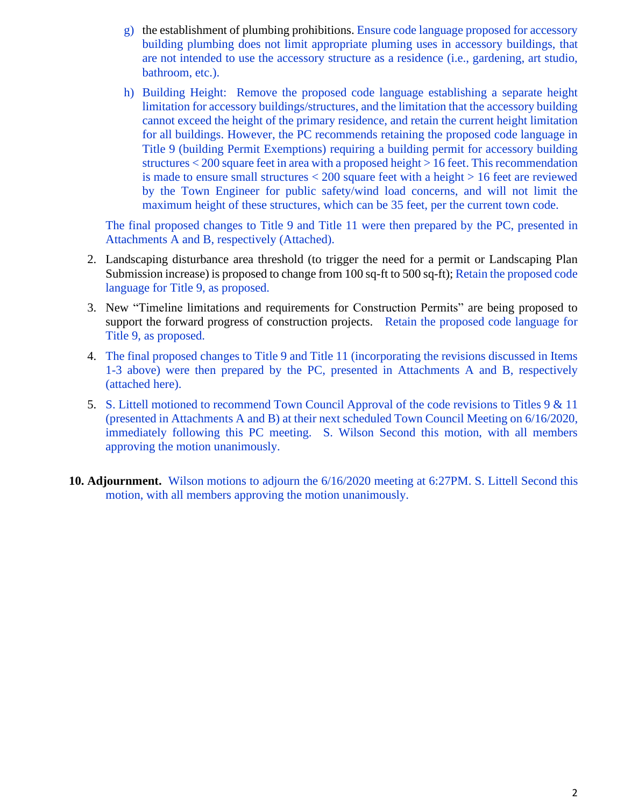- g) the establishment of plumbing prohibitions. Ensure code language proposed for accessory building plumbing does not limit appropriate pluming uses in accessory buildings, that are not intended to use the accessory structure as a residence (i.e., gardening, art studio, bathroom, etc.).
- h) Building Height: Remove the proposed code language establishing a separate height limitation for accessory buildings/structures, and the limitation that the accessory building cannot exceed the height of the primary residence, and retain the current height limitation for all buildings. However, the PC recommends retaining the proposed code language in Title 9 (building Permit Exemptions) requiring a building permit for accessory building structures < 200 square feet in area with a proposed height > 16 feet. This recommendation is made to ensure small structures  $< 200$  square feet with a height  $> 16$  feet are reviewed by the Town Engineer for public safety/wind load concerns, and will not limit the maximum height of these structures, which can be 35 feet, per the current town code.

The final proposed changes to Title 9 and Title 11 were then prepared by the PC, presented in Attachments A and B, respectively (Attached).

- 2. Landscaping disturbance area threshold (to trigger the need for a permit or Landscaping Plan Submission increase) is proposed to change from 100 sq-ft to 500 sq-ft); Retain the proposed code language for Title 9, as proposed.
- 3. New "Timeline limitations and requirements for Construction Permits" are being proposed to support the forward progress of construction projects. Retain the proposed code language for Title 9, as proposed.
- 4. The final proposed changes to Title 9 and Title 11 (incorporating the revisions discussed in Items 1-3 above) were then prepared by the PC, presented in Attachments A and B, respectively (attached here).
- 5. S. Littell motioned to recommend Town Council Approval of the code revisions to Titles 9 & 11 (presented in Attachments A and B) at their next scheduled Town Council Meeting on 6/16/2020, immediately following this PC meeting. S. Wilson Second this motion, with all members approving the motion unanimously.
- **10. Adjournment.** Wilson motions to adjourn the 6/16/2020 meeting at 6:27PM. S. Littell Second this motion, with all members approving the motion unanimously.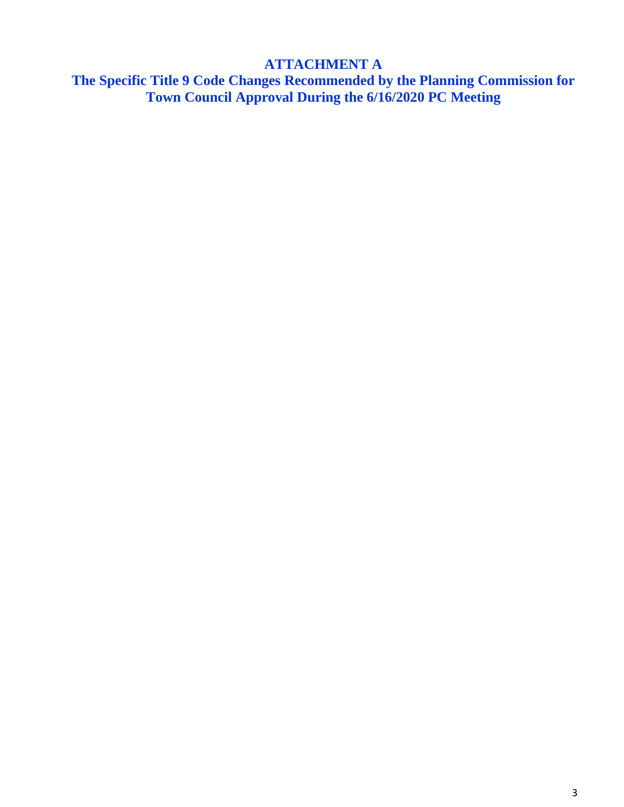# **ATTACHMENT A**

**The Specific Title 9 Code Changes Recommended by the Planning Commission for Town Council Approval During the 6/16/2020 PC Meeting**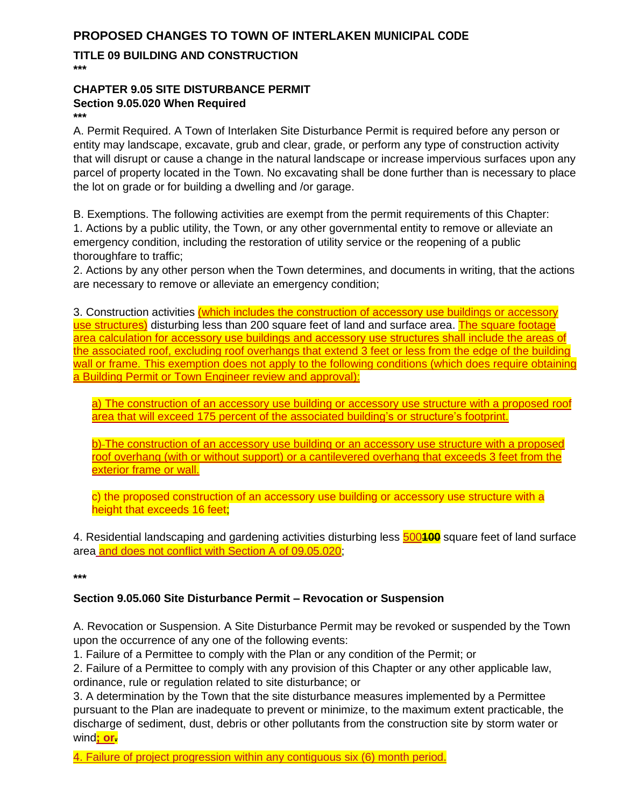### **PROPOSED CHANGES TO TOWN OF INTERLAKEN MUNICIPAL CODE**

**TITLE 09 BUILDING AND CONSTRUCTION \*\*\***

#### **CHAPTER 9.05 SITE DISTURBANCE PERMIT Section 9.05.020 When Required**

**\*\*\***

A. Permit Required. A Town of Interlaken Site Disturbance Permit is required before any person or entity may landscape, excavate, grub and clear, grade, or perform any type of construction activity that will disrupt or cause a change in the natural landscape or increase impervious surfaces upon any parcel of property located in the Town. No excavating shall be done further than is necessary to place the lot on grade or for building a dwelling and /or garage.

B. Exemptions. The following activities are exempt from the permit requirements of this Chapter: 1. Actions by a public utility, the Town, or any other governmental entity to remove or alleviate an emergency condition, including the restoration of utility service or the reopening of a public thoroughfare to traffic;

2. Actions by any other person when the Town determines, and documents in writing, that the actions are necessary to remove or alleviate an emergency condition;

3. Construction activities (which includes the construction of accessory use buildings or accessory use structures) disturbing less than 200 square feet of land and surface area. The square footage area calculation for accessory use buildings and accessory use structures shall include the areas of the associated roof, excluding roof overhangs that extend 3 feet or less from the edge of the building wall or frame. This exemption does not apply to the following conditions (which does require obtaining a Building Permit or Town Engineer review and approval):

a) The construction of an accessory use building or accessory use structure with a proposed roof area that will exceed 175 percent of the associated building's or structure's footprint.

b) The construction of an accessory use building or an accessory use structure with a proposed roof overhang (with or without support) or a cantilevered overhang that exceeds 3 feet from the exterior frame or wall.

c) the proposed construction of an accessory use building or accessory use structure with a height that exceeds 16 feet;

4. Residential landscaping and gardening activities disturbing less 500**100** square feet of land surface area and does not conflict with Section A of 09.05.020;

**\*\*\***

#### **Section 9.05.060 Site Disturbance Permit – Revocation or Suspension**

A. Revocation or Suspension. A Site Disturbance Permit may be revoked or suspended by the Town upon the occurrence of any one of the following events:

1. Failure of a Permittee to comply with the Plan or any condition of the Permit; or

2. Failure of a Permittee to comply with any provision of this Chapter or any other applicable law, ordinance, rule or regulation related to site disturbance; or

3. A determination by the Town that the site disturbance measures implemented by a Permittee pursuant to the Plan are inadequate to prevent or minimize, to the maximum extent practicable, the discharge of sediment, dust, debris or other pollutants from the construction site by storm water or wind**; or.**

4. Failure of project progression within any contiguous six (6) month period.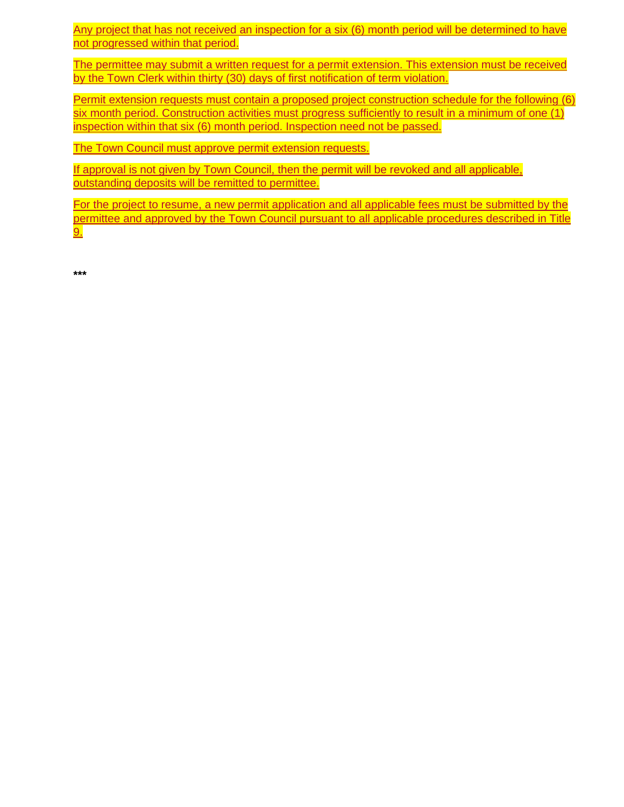Any project that has not received an inspection for a six (6) month period will be determined to have not progressed within that period.

The permittee may submit a written request for a permit extension. This extension must be received by the Town Clerk within thirty (30) days of first notification of term violation.

Permit extension requests must contain a proposed project construction schedule for the following (6) six month period. Construction activities must progress sufficiently to result in a minimum of one (1) inspection within that six (6) month period. Inspection need not be passed.

The Town Council must approve permit extension requests.

If approval is not given by Town Council, then the permit will be revoked and all applicable, outstanding deposits will be remitted to permittee.

For the project to resume, a new permit application and all applicable fees must be submitted by the permittee and approved by the Town Council pursuant to all applicable procedures described in Title 9.

**\*\*\***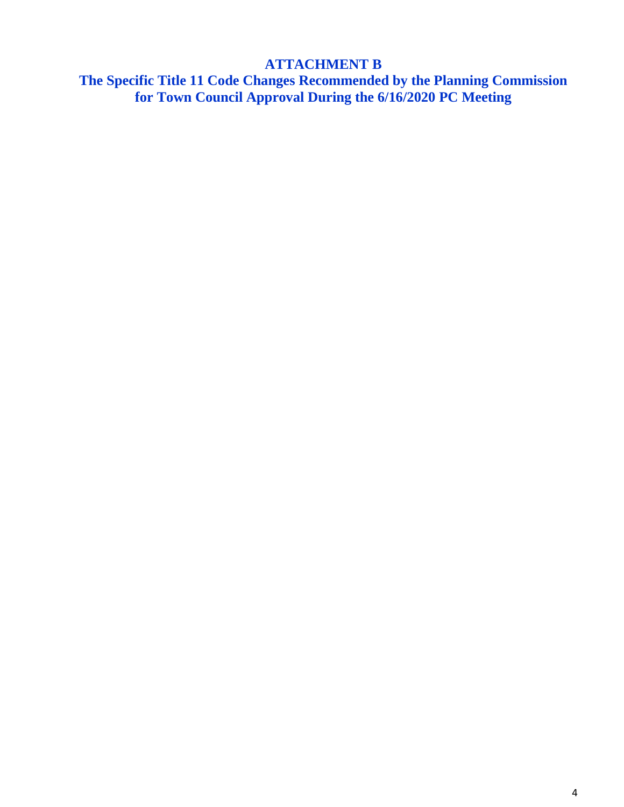# **ATTACHMENT B**

**The Specific Title 11 Code Changes Recommended by the Planning Commission for Town Council Approval During the 6/16/2020 PC Meeting**